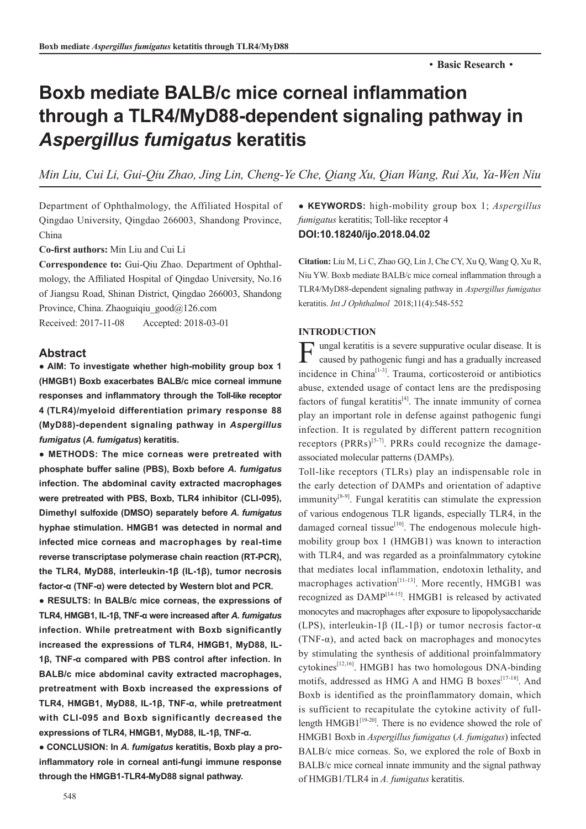# **Boxb mediate BALB/c mice corneal inflammation through a TLR4/MyD88-dependent signaling pathway in**  *Aspergillus fumigatus* **keratitis**

*Min Liu, Cui Li, Gui-Qiu Zhao, Jing Lin, Cheng-Ye Che, Qiang Xu, Qian Wang, Rui Xu, Ya-Wen Niu*

Department of Ophthalmology, the Affiliated Hospital of Qingdao University, Qingdao 266003, Shandong Province, China

**Co-first authors:** Min Liu and Cui Li

**Correspondence to:** Gui-Qiu Zhao. Department of Ophthalmology, the Affiliated Hospital of Qingdao University, No.16 of Jiangsu Road, Shinan District, Qingdao 266003, Shandong Province, China. Zhaoguiqiu\_good@126.com

Received: 2017-11-08 Accepted: 2018-03-01

# **Abstract**

**● AIM: To investigate whether high-mobility group box 1 (HMGB1) Boxb exacerbates BALB/c mice corneal immune responses and inflammatory through the Toll-like receptor 4 (TLR4)/myeloid differentiation primary response 88 (MyD88)-dependent signaling pathway in** *Aspergillus fumigatus* **(***A. fumigatus***) keratitis.**

**● METHODS: The mice corneas were pretreated with phosphate buffer saline (PBS), Boxb before** *A. fumigatus*  **infection. The abdominal cavity extracted macrophages were pretreated with PBS, Boxb, TLR4 inhibitor (CLI-095), Dimethyl sulfoxide (DMSO) separately before** *A. fumigatus* **hyphae stimulation. HMGB1 was detected in normal and infected mice corneas and macrophages by real-time reverse transcriptase polymerase chain reaction (RT-PCR), the TLR4, MyD88, interleukin-1β (IL-1β), tumor necrosis factor-α (TNF-α) were detected by Western blot and PCR.**

**● RESULTS: In BALB/c mice corneas, the expressions of TLR4, HMGB1, IL-1β, TNF-α were increased after** *A. fumigatus* **infection. While pretreatment with Boxb significantly increased the expressions of TLR4, HMGB1, MyD88, IL-1β, TNF-α compared with PBS control after infection. In BALB/c mice abdominal cavity extracted macrophages, pretreatment with Boxb increased the expressions of TLR4, HMGB1, MyD88, IL-1β, TNF-α, while pretreatment with CLI-095 and Boxb significantly decreased the expressions of TLR4, HMGB1, MyD88, IL-1β, TNF-α.** 

**● CONCLUSION: In** *A. fumigatus* **keratitis, Boxb play a proinflammatory role in corneal anti-fungi immune response through the HMGB1-TLR4-MyD88 signal pathway.** 

**● KEYWORDS:** high-mobility group box 1; *Aspergillus fumigatus* keratitis; Toll-like receptor 4 **DOI:10.18240/ijo.2018.04.02**

**Citation:** Liu M, Li C, Zhao GQ, Lin J, Che CY, Xu Q, Wang Q, Xu R, Niu YW. Boxb mediate BALB/c mice corneal inflammation through a TLR4/MyD88-dependent signaling pathway in *Aspergillus fumigatus*  keratitis. *Int J Ophthalmol* 2018;11(4):548-552

## **INTRODUCTION**

**F** ungal keratitis is a severe suppurative ocular disease. It is caused by pathogenic fungi and has a gradually increased caused by pathogenic fungi and has a gradually increased incidence in China<sup>[1-3]</sup>. Trauma, corticosteroid or antibiotics abuse, extended usage of contact lens are the predisposing factors of fungal keratitis<sup>[4]</sup>. The innate immunity of cornea play an important role in defense against pathogenic fungi infection. It is regulated by different pattern recognition receptors  $(PRRs)^{5-7}$ . PRRs could recognize the damageassociated molecular patterns (DAMPs).

Toll-like receptors (TLRs) play an indispensable role in the early detection of DAMPs and orientation of adaptive immunity<sup>[8-9]</sup>. Fungal keratitis can stimulate the expression of various endogenous TLR ligands, especially TLR4, in the damaged corneal tissue<sup>[10]</sup>. The endogenous molecule highmobility group box 1 (HMGB1) was known to interaction with TLR4, and was regarded as a proinfalmmatory cytokine that mediates local inflammation, endotoxin lethality, and macrophages activation $[11-13]$ . More recently, HMGB1 was recognized as DAMP[14-15]. HMGB1 is released by activated monocytes and macrophages after exposure to lipopolysaccharide (LPS), interleukin-1β (IL-1β) or tumor necrosis factor-α (TNF- $\alpha$ ), and acted back on macrophages and monocytes by stimulating the synthesis of additional proinfalmmatory  $cv$ tokines<sup>[12,16]</sup>. HMGB1 has two homologous DNA-binding motifs, addressed as HMG A and HMG B boxes<sup>[17-18]</sup>. And Boxb is identified as the proinflammatory domain, which is sufficient to recapitulate the cytokine activity of fulllength  $HMGB1^{[19-20]}$ . There is no evidence showed the role of HMGB1 Boxb in *Aspergillus fumigatus* (*A. fumigatus*) infected BALB/c mice corneas. So, we explored the role of Boxb in BALB/c mice corneal innate immunity and the signal pathway of HMGB1/TLR4 in *A. fumigatus* keratitis.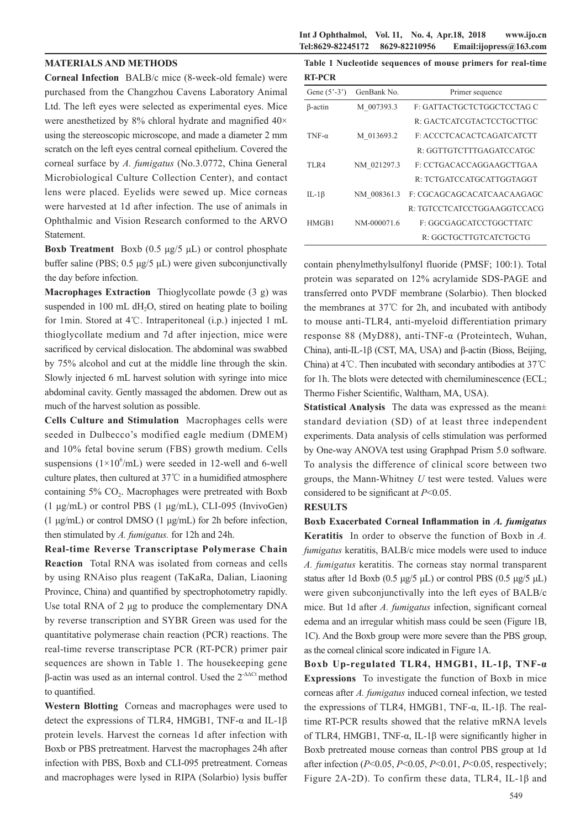### **Int J Ophthalmol, Vol. 11, No. 4, Apr.18, 2018 www.ijo.cn Tel:8629-82245172 8629-82210956 Email:ijopress@163.com**

### **MATERIALS AND METHODS**

**Corneal Infection** BALB/c mice (8-week-old female) were purchased from the Changzhou Cavens Laboratory Animal Ltd. The left eyes were selected as experimental eyes. Mice were anesthetized by 8% chloral hydrate and magnified 40× using the stereoscopic microscope, and made a diameter 2 mm scratch on the left eyes central corneal epithelium. Covered the corneal surface by *A. fumigatus* (No.3.0772, China General Microbiological Culture Collection Center), and contact lens were placed. Eyelids were sewed up. Mice corneas were harvested at 1d after infection. The use of animals in Ophthalmic and Vision Research conformed to the ARVO Statement.

**Boxb Treatment** Boxb (0.5 μg/5 μL) or control phosphate buffer saline (PBS; 0.5 μg/5 μL) were given subconjunctivally the day before infection.

**Macrophages Extraction** Thioglycollate powde (3 g) was suspended in  $100 \text{ mL dH}_2$ O, stired on heating plate to boiling for 1min. Stored at 4℃. Intraperitoneal (i.p.) injected 1 mL thioglycollate medium and 7d after injection, mice were sacrificed by cervical dislocation. The abdominal was swabbed by 75% alcohol and cut at the middle line through the skin. Slowly injected 6 mL harvest solution with syringe into mice abdominal cavity. Gently massaged the abdomen. Drew out as much of the harvest solution as possible.

**Cells Culture and Stimulation** Macrophages cells were seeded in Dulbecco's modified eagle medium (DMEM) and 10% fetal bovine serum (FBS) growth medium. Cells suspensions  $(1 \times 10^6$ /mL) were seeded in 12-well and 6-well culture plates, then cultured at 37℃ in a humidified atmosphere containing  $5\%$  CO<sub>2</sub>. Macrophages were pretreated with Boxb (1 μg/mL) or control PBS (1 μg/mL), CLI-095 (InvivoGen) (1 μg/mL) or control DMSO (1 μg/mL) for 2h before infection, then stimulated by *A. fumigatus.* for 12h and 24h.

**Real-time Reverse Transcriptase Polymerase Chain Reaction** Total RNA was isolated from corneas and cells by using RNAiso plus reagent (TaKaRa, Dalian, Liaoning Province, China) and quantified by spectrophotometry rapidly. Use total RNA of 2 μg to produce the complementary DNA by reverse transcription and SYBR Green was used for the quantitative polymerase chain reaction (PCR) reactions. The real-time reverse transcriptase PCR (RT-PCR) primer pair sequences are shown in Table 1. The housekeeping gene β-actin was used as an internal control. Used the  $2<sup>ΔΔCt</sup>$  method to quantified.

**Western Blotting** Corneas and macrophages were used to detect the expressions of TLR4, HMGB1, TNF-α and IL-1β protein levels. Harvest the corneas 1d after infection with Boxb or PBS pretreatment. Harvest the macrophages 24h after infection with PBS, Boxb and CLI-095 pretreatment. Corneas and macrophages were lysed in RIPA (Solarbio) lysis buffer

**Table 1 Nucleotide sequences of mouse primers for real-time RT-PCR**

| Gene $(5^{\circ} - 3^{\circ})$ | GenBank No. | Primer sequence             |
|--------------------------------|-------------|-----------------------------|
| β-actin                        | M 007393.3  | F: GATTACTGCTCTGGCTCCTAG C  |
|                                |             | R: GACTCATCGTACTCCTGCTTGC   |
| $TNF-\alpha$                   | M 013693.2  | F: ACCCTCACACTCAGATCATCTT   |
|                                |             | R GGTTGTCTTTGAGATCCATGC     |
| TLR4                           | NM 021297.3 | E: CCTGACACCAGGAAGCTTGAA    |
|                                |             | R: TCTGATCCATGCATTGGTAGGT   |
| IL-1 $\beta$                   | NM 008361.3 | E: CGCAGCAGCACATCAACAAGAGC  |
|                                |             | R: TGTCCTCATCCTGGAAGGTCCACG |
| HMGB1                          | NM-000071.6 | F: GGCGAGCATCCTGGCTTATC     |
|                                |             | R: GGCTGCTTGTCATCTGCTG      |

contain phenylmethylsulfonyl fluoride (PMSF; 100:1). Total protein was separated on 12% acrylamide SDS-PAGE and transferred onto PVDF membrane (Solarbio). Then blocked the membranes at 37℃ for 2h, and incubated with antibody to mouse anti-TLR4, anti-myeloid differentiation primary response 88 (MyD88), anti-TNF-α (Proteintech, Wuhan, China), anti-IL-1β (CST, MA, USA) and β-actin (Bioss, Beijing, China) at 4℃. Then incubated with secondary antibodies at 37℃ for 1h. The blots were detected with chemiluminescence (ECL; Thermo Fisher Scientific, Waltham, MA, USA).

**Statistical Analysis** The data was expressed as the mean± standard deviation (SD) of at least three independent experiments. Data analysis of cells stimulation was performed by One-way ANOVA test using Graphpad Prism 5.0 software. To analysis the difference of clinical score between two groups, the Mann-Whitney *U* test were tested. Values were considered to be significant at *P*<0.05.

#### **RESULTS**

**Boxb Exacerbated Corneal Inflammation in** *A. fumigatus* **Keratitis** In order to observe the function of Boxb in *A. fumigatus* keratitis, BALB/c mice models were used to induce *A. fumigatus* keratitis. The corneas stay normal transparent status after 1d Boxb (0.5 μg/5 μL) or control PBS (0.5 μg/5 μL) were given subconjunctivally into the left eyes of BALB/c mice. But 1d after *A. fumigatus* infection, significant corneal edema and an irregular whitish mass could be seen (Figure 1B, 1C). And the Boxb group were more severe than the PBS group, as the corneal clinical score indicated in Figure 1A.

**Boxb Up-regulated TLR4, HMGB1, IL-1β, TNF-α Expressions** To investigate the function of Boxb in mice corneas after *A. fumigatus* induced corneal infection, we tested the expressions of TLR4, HMGB1, TNF-α, IL-1β. The realtime RT-PCR results showed that the relative mRNA levels of TLR4, HMGB1, TNF- $\alpha$ , IL-1 $\beta$  were significantly higher in Boxb pretreated mouse corneas than control PBS group at 1d after infection (*P*<0.05, *P*<0.05, *P*<0.01, *P*<0.05, respectively; Figure 2A-2D). To confirm these data, TLR4, IL-1β and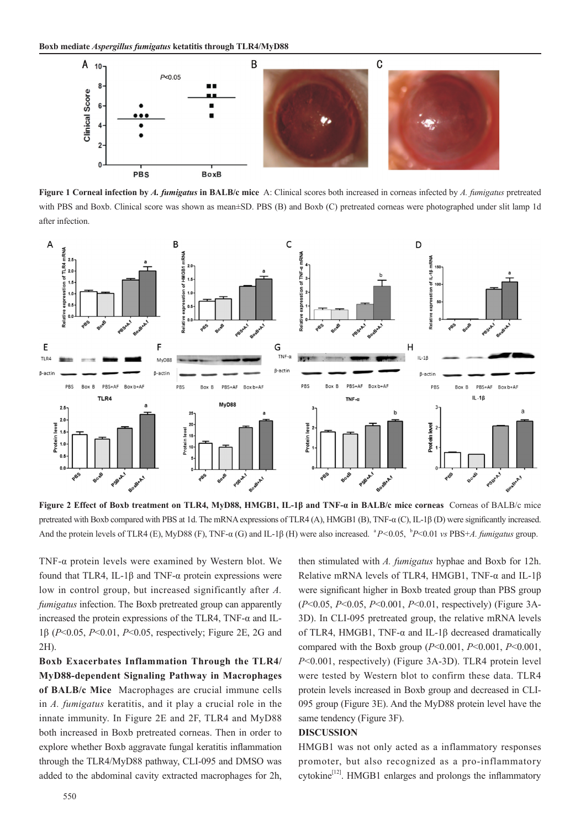

**Figure 1 Corneal infection by** *A. fumigatus* **in BALB/c mice** A: Clinical scores both increased in corneas infected by *A. fumigatus* pretreated with PBS and Boxb. Clinical score was shown as mean±SD. PBS (B) and Boxb (C) pretreated corneas were photographed under slit lamp 1d after infection.



**Figure 2 Effect of Boxb treatment on TLR4, MyD88, HMGB1, IL-1β and TNF-α in BALB/c mice corneas** Corneas of BALB/c mice pretreated with Boxb compared with PBS at 1d. The mRNA expressions of TLR4 (A), HMGB1 (B), TNF-α (C), IL-1β (D) were significantly increased. And the protein levels of TLR4 (E), MyD88 (F), TNF-α (G) and IL-1β (H) were also increased. <sup>a</sup>P<0.05, <sup>b</sup>P<0.01 *vs* PBS+*A. fumigatus* group.

TNF-α protein levels were examined by Western blot. We found that TLR4, IL-1β and TNF-α protein expressions were low in control group, but increased significantly after *A. fumigatus* infection. The Boxb pretreated group can apparently increased the protein expressions of the TLR4, TNF-α and IL-1β (*P*<0.05, *P*<0.01, *P*<0.05, respectively; Figure 2E, 2G and 2H).

**Boxb Exacerbates Inflammation Through the TLR4/ MyD88-dependent Signaling Pathway in Macrophages of BALB/c Mice** Macrophages are crucial immune cells in *A. fumigatus* keratitis, and it play a crucial role in the innate immunity. In Figure 2E and 2F, TLR4 and MyD88 both increased in Boxb pretreated corneas. Then in order to explore whether Boxb aggravate fungal keratitis inflammation through the TLR4/MyD88 pathway, CLI-095 and DMSO was added to the abdominal cavity extracted macrophages for 2h,

then stimulated with *A. fumigatus* hyphae and Boxb for 12h. Relative mRNA levels of TLR4, HMGB1, TNF-α and IL-1β were significant higher in Boxb treated group than PBS group (*P*<0.05, *P*<0.05, *P*<0.001, *P*<0.01, respectively) (Figure 3A-3D). In CLI-095 pretreated group, the relative mRNA levels of TLR4, HMGB1, TNF-α and IL-1β decreased dramatically compared with the Boxb group (*P*<0.001, *P*<0.001, *P*<0.001, *P*<0.001, respectively) (Figure 3A-3D). TLR4 protein level were tested by Western blot to confirm these data. TLR4 protein levels increased in Boxb group and decreased in CLI-095 group (Figure 3E). And the MyD88 protein level have the same tendency (Figure 3F).

#### **DISCUSSION**

HMGB1 was not only acted as a inflammatory responses promoter, but also recognized as a pro-inflammatory  $cytokine<sup>[12]</sup>$ . HMGB1 enlarges and prolongs the inflammatory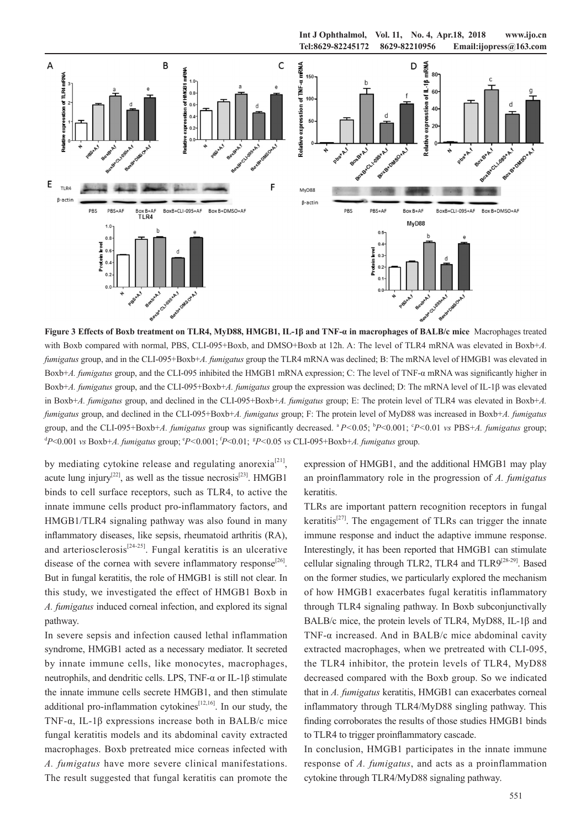

**Figure 3 Effects of Boxb treatment on TLR4, MyD88, HMGB1, IL-1β and TNF-α in macrophages of BALB/c mice** Macrophages treated with Boxb compared with normal, PBS, CLI-095+Boxb, and DMSO+Boxb at 12h. A: The level of TLR4 mRNA was elevated in Boxb+*A*. *fumigatus* group, and in the CLI-095+Boxb+*A. fumigatus* group the TLR4 mRNA was declined; B: The mRNA level of HMGB1 was elevated in Boxb+*A. fumigatus* group, and the CLI-095 inhibited the HMGB1 mRNA expression; C: The level of TNF-α mRNA was significantly higher in Boxb+*A. fumigatus* group, and the CLI-095+Boxb+*A. fumigatus* group the expression was declined; D: The mRNA level of IL-1β was elevated in Boxb+*A. fumigatus* group, and declined in the CLI-095+Boxb+*A. fumigatus* group; E: The protein level of TLR4 was elevated in Boxb+*A. fumigatus* group, and declined in the CLI-095+Boxb+*A. fumigatus* group; F: The protein level of MyD88 was increased in Boxb+*A. fumigatus* group, and the CLI-095+Boxb+*A. fumigatus* group was significantly decreased. *<sup>a</sup>P*<0.05; <sup>b</sup>P<0.001; <sup>c</sup>P<0.01 *vs* PBS+*A. fumigatus* group;  $\alpha^d P \leq 0.001$  *vs Boxb+A. fumigatus group*;  $\beta^e P \leq 0.001$ ;  $\beta^e P \leq 0.01$ ;  $\beta^e P \leq 0.05$  *vs CLI-095+Boxb+A. fumigatus group.* 

by mediating cytokine release and regulating anorexia<sup>[21]</sup>, acute lung injury<sup>[22]</sup>, as well as the tissue necrosis<sup>[23]</sup>. HMGB1 binds to cell surface receptors, such as TLR4, to active the innate immune cells product pro-inflammatory factors, and HMGB1/TLR4 signaling pathway was also found in many inflammatory diseases, like sepsis, rheumatoid arthritis (RA), and arteriosclerosis<sup>[24-25]</sup>. Fungal keratitis is an ulcerative disease of the cornea with severe inflammatory response<sup>[26]</sup>. But in fungal keratitis, the role of HMGB1 is still not clear. In this study, we investigated the effect of HMGB1 Boxb in *A. fumigatus* induced corneal infection, and explored its signal pathway.

In severe sepsis and infection caused lethal inflammation syndrome, HMGB1 acted as a necessary mediator. It secreted by innate immune cells, like monocytes, macrophages, neutrophils, and dendritic cells. LPS, TNF-α or IL-1β stimulate the innate immune cells secrete HMGB1, and then stimulate additional pro-inflammation cytokines<sup> $[12,16]$ </sup>. In our study, the TNF-α, IL-1β expressions increase both in BALB/c mice fungal keratitis models and its abdominal cavity extracted macrophages. Boxb pretreated mice corneas infected with *A. fumigatus* have more severe clinical manifestations. The result suggested that fungal keratitis can promote the expression of HMGB1, and the additional HMGB1 may play an proinflammatory role in the progression of *A. fumigatus* keratitis.

TLRs are important pattern recognition receptors in fungal keratitis<sup>[27]</sup>. The engagement of TLRs can trigger the innate immune response and induct the adaptive immune response. Interestingly, it has been reported that HMGB1 can stimulate cellular signaling through TLR2, TLR4 and TLR9[28-29]. Based on the former studies, we particularly explored the mechanism of how HMGB1 exacerbates fugal keratitis inflammatory through TLR4 signaling pathway. In Boxb subconjunctivally BALB/c mice, the protein levels of TLR4, MyD88, IL-1β and TNF- $\alpha$  increased. And in BALB/c mice abdominal cavity extracted macrophages, when we pretreated with CLI-095, the TLR4 inhibitor, the protein levels of TLR4, MyD88 decreased compared with the Boxb group. So we indicated that in *A. fumigatus* keratitis, HMGB1 can exacerbates corneal inflammatory through TLR4/MyD88 singling pathway. This finding corroborates the results of those studies HMGB1 binds to TLR4 to trigger proinflammatory cascade.

In conclusion, HMGB1 participates in the innate immune response of *A. fumigatus*, and acts as a proinflammation cytokine through TLR4/MyD88 signaling pathway.